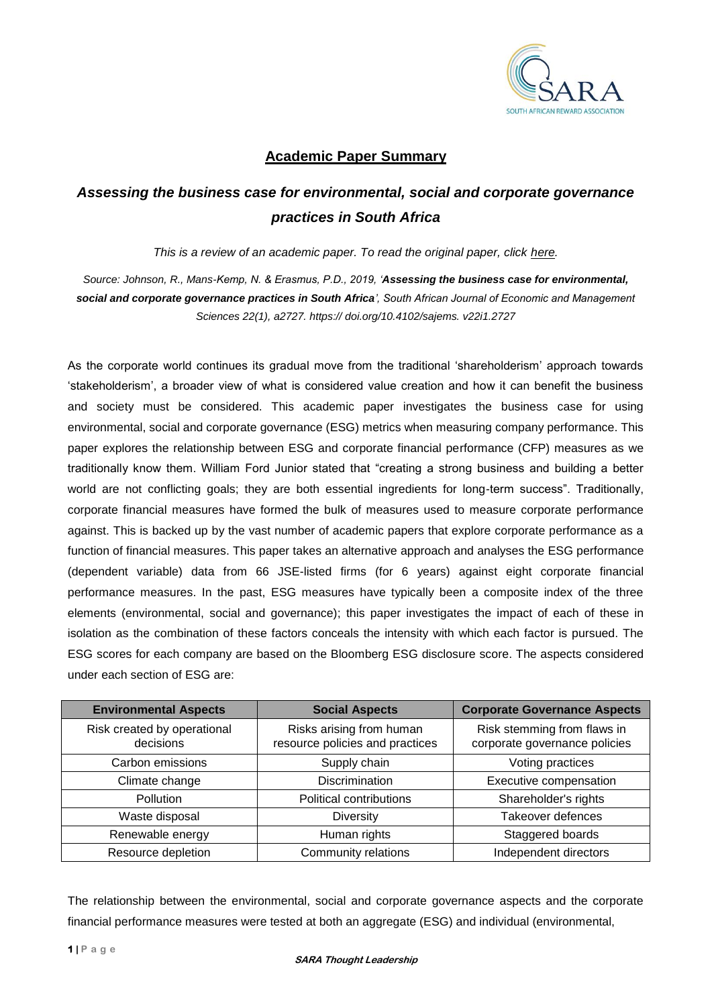

## **Academic Paper Summary**

## *Assessing the business case for environmental, social and corporate governance practices in South Africa*

*This is a review of an academic paper. To read the original paper, click [here.](https://www.researchgate.net/publication/337606504_Assessing_the_business_case_for_environmental_social_and_corporate_governance_practices_in_South_Africa)*

*Source: Johnson, R., Mans-Kemp, N. & Erasmus, P.D., 2019, 'Assessing the business case for environmental, social and corporate governance practices in South Africa', South African Journal of Economic and Management Sciences 22(1), a2727. https:// doi.org/10.4102/sajems. v22i1.2727*

As the corporate world continues its gradual move from the traditional 'shareholderism' approach towards 'stakeholderism', a broader view of what is considered value creation and how it can benefit the business and society must be considered. This academic paper investigates the business case for using environmental, social and corporate governance (ESG) metrics when measuring company performance. This paper explores the relationship between ESG and corporate financial performance (CFP) measures as we traditionally know them. William Ford Junior stated that "creating a strong business and building a better world are not conflicting goals; they are both essential ingredients for long-term success". Traditionally, corporate financial measures have formed the bulk of measures used to measure corporate performance against. This is backed up by the vast number of academic papers that explore corporate performance as a function of financial measures. This paper takes an alternative approach and analyses the ESG performance (dependent variable) data from 66 JSE-listed firms (for 6 years) against eight corporate financial performance measures. In the past, ESG measures have typically been a composite index of the three elements (environmental, social and governance); this paper investigates the impact of each of these in isolation as the combination of these factors conceals the intensity with which each factor is pursued. The ESG scores for each company are based on the Bloomberg ESG disclosure score. The aspects considered under each section of ESG are:

| <b>Environmental Aspects</b>             | <b>Social Aspects</b>                                       | <b>Corporate Governance Aspects</b>                          |
|------------------------------------------|-------------------------------------------------------------|--------------------------------------------------------------|
| Risk created by operational<br>decisions | Risks arising from human<br>resource policies and practices | Risk stemming from flaws in<br>corporate governance policies |
| Carbon emissions                         | Supply chain                                                | Voting practices                                             |
| Climate change                           | <b>Discrimination</b>                                       | Executive compensation                                       |
| Pollution                                | Political contributions                                     | Shareholder's rights                                         |
| Waste disposal                           | <b>Diversity</b>                                            | Takeover defences                                            |
| Renewable energy                         | Human rights                                                | Staggered boards                                             |
| Resource depletion                       | Community relations                                         | Independent directors                                        |

The relationship between the environmental, social and corporate governance aspects and the corporate financial performance measures were tested at both an aggregate (ESG) and individual (environmental,